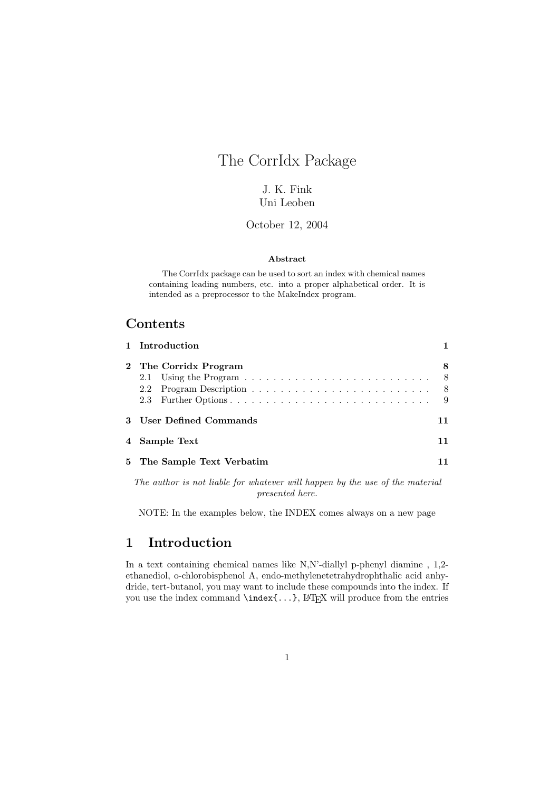# The CorrIdx Package

### J. K. Fink Uni Leoben

#### October 12, 2004

#### Abstract

The CorrIdx package can be used to sort an index with chemical names containing leading numbers, etc. into a proper alphabetical order. It is intended as a preprocessor to the MakeIndex program.

### Contents

| 1 Introduction             |                  |
|----------------------------|------------------|
| 2 The Corridx Program      | -8<br>- 8<br>- 9 |
| 3 User Defined Commands    |                  |
| 4 Sample Text              |                  |
| 5 The Sample Text Verbatim |                  |

The author is not liable for whatever will happen by the use of the material presented here.

NOTE: In the examples below, the INDEX comes always on a new page

## 1 Introduction

In a text containing chemical names like N,N'-diallyl p-phenyl diamine , 1,2 ethanediol, o-chlorobisphenol A, endo-methylenetetrahydrophthalic acid anhydride, tert-butanol, you may want to include these compounds into the index. If you use the index command  $\in$ ...}, LATEX will produce from the entries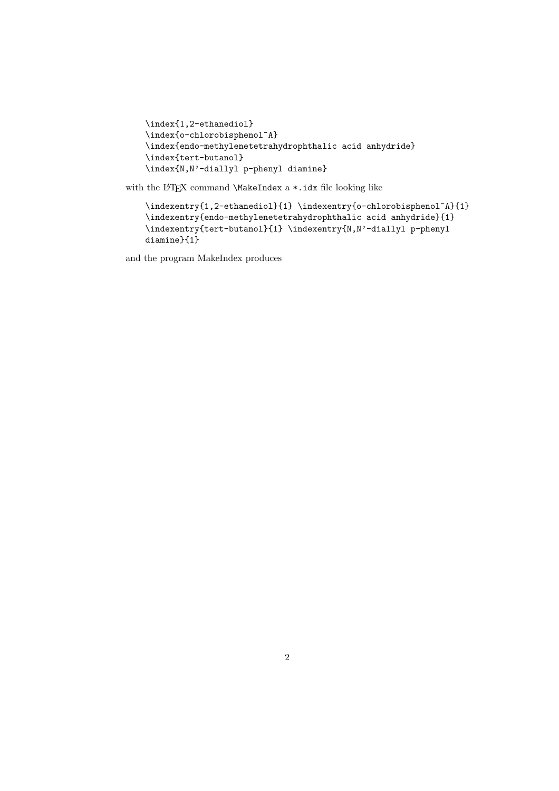```
\index{1,2-ethanediol}
\index{o-chlorobisphenol~A}
\index{endo-methylenetetrahydrophthalic acid anhydride}
\index{tert-butanol}
\index{N,N'-diallyl p-phenyl diamine}
```
with the LATEX command **\MakeIndex** a  $\ast$ .idx file looking like

```
\indexentry{1,2-ethanediol}{1} \indexentry{o-chlorobisphenol~A}{1}
\indexentry{endo-methylenetetrahydrophthalic acid anhydride}{1}
\indexentry{tert-butanol}{1} \indexentry{N,N'-diallyl p-phenyl
diamine}{1}
```
and the program MakeIndex produces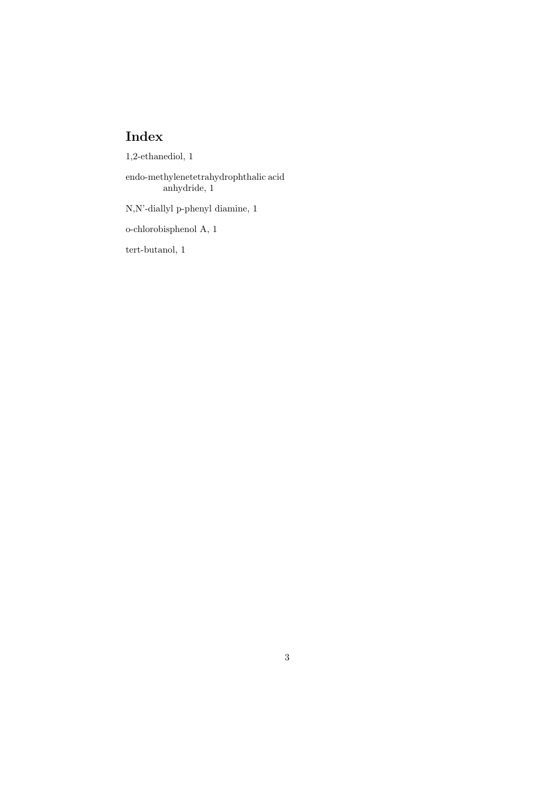1,2-ethanediol, 1

endo-methylenetetrahydrophthalic acid anhydride, 1

N,N'-diallyl p-phenyl diamine, 1

o-chlorobisphenol A, 1

tert-butanol, 1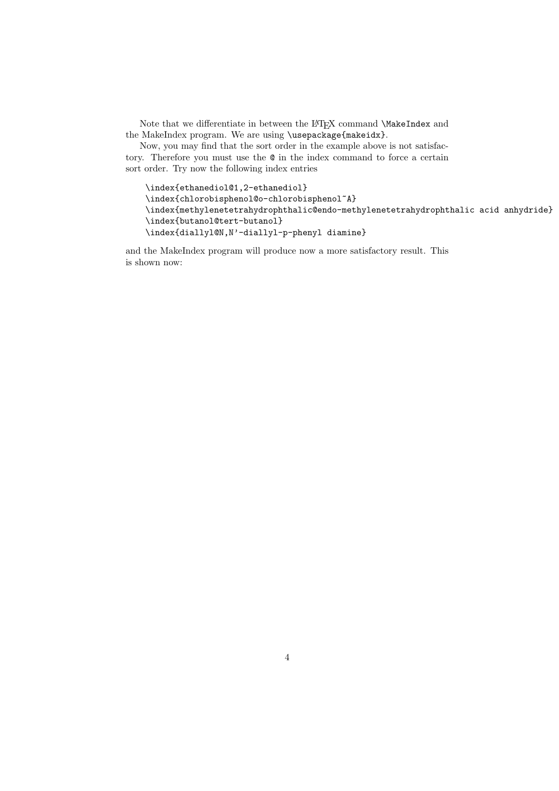Note that we differentiate in between the LATEX command \MakeIndex and the MakeIndex program. We are using \usepackage{makeidx}.

Now, you may find that the sort order in the example above is not satisfactory. Therefore you must use the @ in the index command to force a certain sort order. Try now the following index entries

\index{ethanediol@1,2-ethanediol} \index{chlorobisphenol@o-chlorobisphenol~A} \index{methylenetetrahydrophthalic@endo-methylenetetrahydrophthalic acid anhydride} \index{butanol@tert-butanol} \index{diallyl@N,N'-diallyl-p-phenyl diamine}

and the MakeIndex program will produce now a more satisfactory result. This is shown now: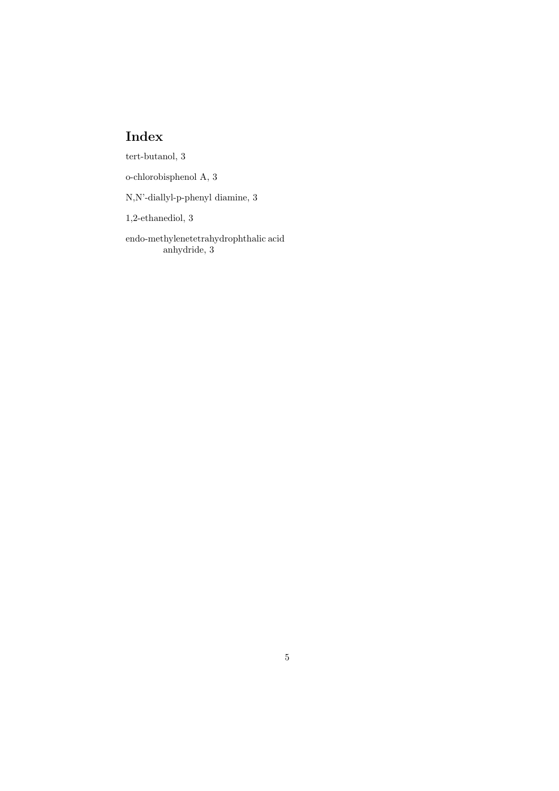tert-butanol, 3

o-chlorobisphenol A, 3

N,N'-diallyl-p-phenyl diamine, 3

1,2-ethanediol, 3

endo-methylenetetrahydrophthalic acid anhydride, 3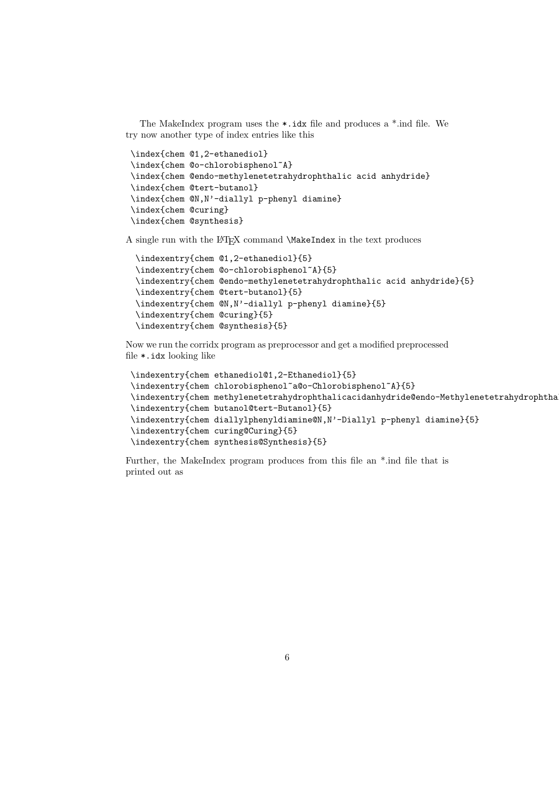The MakeIndex program uses the  $\ast$ . idx file and produces a  $\ast$ . ind file. We try now another type of index entries like this

```
\index{chem @1,2-ethanediol}
\index{chem @o-chlorobisphenol~A}
\index{chem @endo-methylenetetrahydrophthalic acid anhydride}
\index{chem @tert-butanol}
\index{chem @N,N'-diallyl p-phenyl diamine}
\index{chem @curing}
\index{chem @synthesis}
```
A single run with the LATEX command \MakeIndex in the text produces

```
\indexentry{chem @1,2-ethanediol}{5}
\indexentry{chem @o-chlorobisphenol~A}{5}
\indexentry{chem @endo-methylenetetrahydrophthalic acid anhydride}{5}
\indexentry{chem @tert-butanol}{5}
\indexentry{chem @N,N'-diallyl p-phenyl diamine}{5}
\indexentry{chem @curing}{5}
\indexentry{chem @synthesis}{5}
```
Now we run the corridx program as preprocessor and get a modified preprocessed file \*.idx looking like

```
\indexentry{chem ethanediol@1,2-Ethanediol}{5}
\indexentry{chem chlorobisphenol~a@o-Chlorobisphenol~A}{5}
\indexentry{chem methylenetetrahydrophthalicacidanhydride@endo-Methylenetetrahydrophtha
\indexentry{chem butanol@tert-Butanol}{5}
\indexentry{chem diallylphenyldiamine@N,N'-Diallyl p-phenyl diamine}{5}
\indexentry{chem curing@Curing}{5}
\indexentry{chem synthesis@Synthesis}{5}
```
Further, the MakeIndex program produces from this file an \*.ind file that is printed out as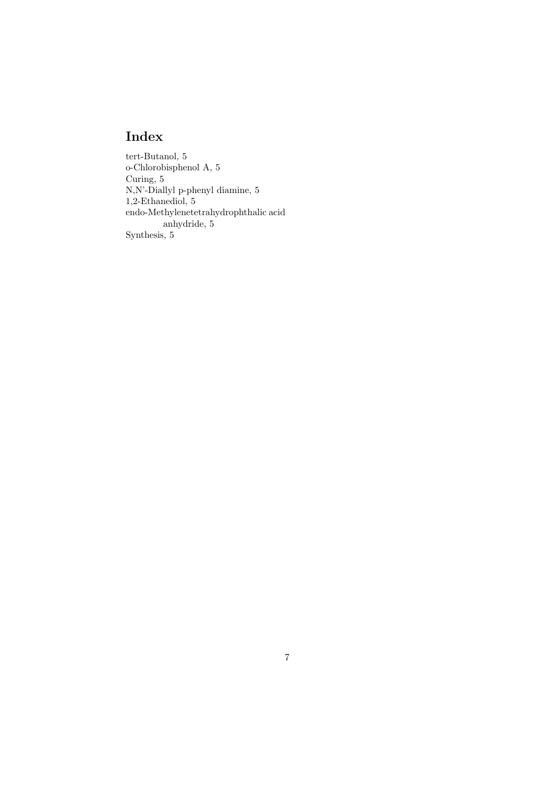tert-Butanol, 5 o-Chlorobisphenol A, 5 Curing, 5 N,N'-Diallyl p-phenyl diamine, 5 1,2-Ethanediol, 5 endo-Methylenetetrahydrophthalic acid anhydride, 5 Synthesis, 5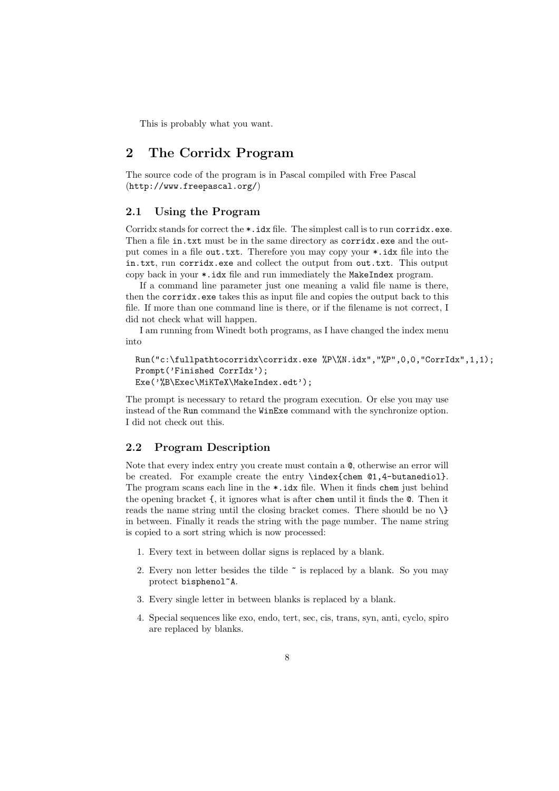This is probably what you want.

## 2 The Corridx Program

The source code of the program is in Pascal compiled with Free Pascal (http://www.freepascal.org/)

#### 2.1 Using the Program

Corridx stands for correct the  $\ast$ . idx file. The simplest call is to run corridx.exe. Then a file in.txt must be in the same directory as corridx.exe and the output comes in a file out.txt. Therefore you may copy your \*.idx file into the in.txt, run corridx.exe and collect the output from out.txt. This output copy back in your \*.idx file and run immediately the MakeIndex program.

If a command line parameter just one meaning a valid file name is there, then the corridx.exe takes this as input file and copies the output back to this file. If more than one command line is there, or if the filename is not correct, I did not check what will happen.

I am running from Winedt both programs, as I have changed the index menu into

```
Run("c:\fullpathtocorridx\corridx.exe %P\%N.idx","%P",0,0,"CorrIdx",1,1);
Prompt('Finished CorrIdx');
Exe('%B\Exec\MiKTeX\MakeIndex.edt');
```
The prompt is necessary to retard the program execution. Or else you may use instead of the Run command the WinExe command with the synchronize option. I did not check out this.

#### 2.2 Program Description

Note that every index entry you create must contain a @, otherwise an error will be created. For example create the entry \index{chem @1,4-butanediol}. The program scans each line in the \*.idx file. When it finds chem just behind the opening bracket {, it ignores what is after chem until it finds the @. Then it reads the name string until the closing bracket comes. There should be no \} in between. Finally it reads the string with the page number. The name string is copied to a sort string which is now processed:

- 1. Every text in between dollar signs is replaced by a blank.
- 2. Every non letter besides the tilde  $\tilde{\ }$  is replaced by a blank. So you may protect bisphenol~A.
- 3. Every single letter in between blanks is replaced by a blank.
- 4. Special sequences like exo, endo, tert, sec, cis, trans, syn, anti, cyclo, spiro are replaced by blanks.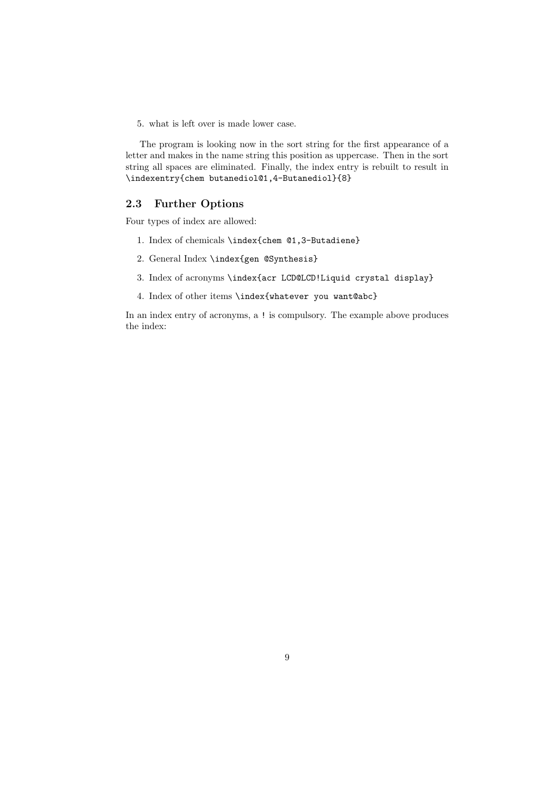5. what is left over is made lower case.

The program is looking now in the sort string for the first appearance of a letter and makes in the name string this position as uppercase. Then in the sort string all spaces are eliminated. Finally, the index entry is rebuilt to result in \indexentry{chem butanediol@1,4-Butanediol}{8}

#### 2.3 Further Options

Four types of index are allowed:

- 1. Index of chemicals \index{chem @1,3-Butadiene}
- 2. General Index \index{gen @Synthesis}
- 3. Index of acronyms \index{acr LCD@LCD!Liquid crystal display}
- 4. Index of other items \index{whatever you want@abc}

In an index entry of acronyms, a ! is compulsory. The example above produces the index: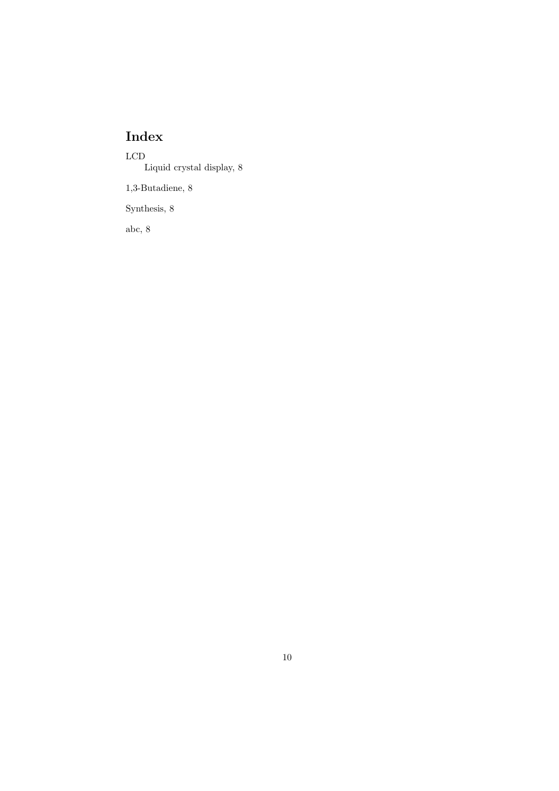LCD Liquid crystal display, 8

1,3-Butadiene, 8

Synthesis, 8

abc, 8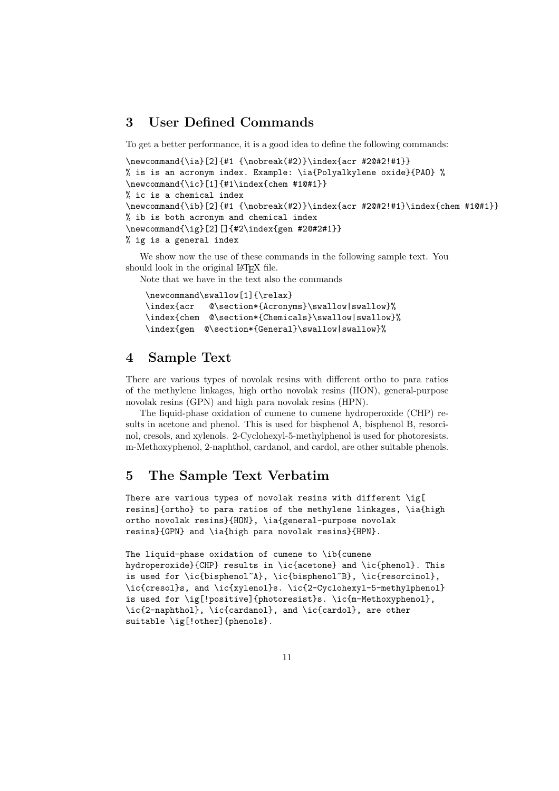## 3 User Defined Commands

To get a better performance, it is a good idea to define the following commands:

```
\newcommand{\ia}[2]{#1 {\nobreak(#2)}\index{acr #2@#2!#1}}
% is is an acronym index. Example: \ia{Polyalkylene oxide}{PAO} %
\newcommand{\ic}[1]{#1\index{chem #1@#1}}
% ic is a chemical index
\newcommand{\ib}[2]{#1 {\nobreak(#2)}\index{acr #2@#2!#1}\index{chem #1@#1}}
% ib is both acronym and chemical index
\newcommand{\ig}[2][]{#2\index{gen #2@#2#1}}
% ig is a general index
```
We show now the use of these commands in the following sample text. You should look in the original LAT<sub>EX</sub> file.

Note that we have in the text also the commands

```
\newcommand\swallow[1]{\relax}
\index{acr @\section*{Acronyms}\swallow|swallow}%
\index{chem @\section*{Chemicals}\swallow|swallow}%
\index{gen @\section*{General}\swallow|swallow}%
```
### 4 Sample Text

There are various types of novolak resins with different ortho to para ratios of the methylene linkages, high ortho novolak resins (HON), general-purpose novolak resins (GPN) and high para novolak resins (HPN).

The liquid-phase oxidation of cumene to cumene hydroperoxide (CHP) results in acetone and phenol. This is used for bisphenol A, bisphenol B, resorcinol, cresols, and xylenols. 2-Cyclohexyl-5-methylphenol is used for photoresists. m-Methoxyphenol, 2-naphthol, cardanol, and cardol, are other suitable phenols.

## 5 The Sample Text Verbatim

There are various types of novolak resins with different \ig[ resins]{ortho} to para ratios of the methylene linkages, \ia{high ortho novolak resins}{HON}, \ia{general-purpose novolak resins}{GPN} and \ia{high para novolak resins}{HPN}.

The liquid-phase oxidation of cumene to \ib{cumene hydroperoxide}{CHP} results in \ic{acetone} and \ic{phenol}. This is used for  $\ic{bisphenol^A}, \ic{bisphenol^B}, \ic{resorcinol},$ \ic{cresol}s, and \ic{xylenol}s. \ic{2-Cyclohexyl-5-methylphenol} is used for \ig[!positive]{photoresist}s. \ic{m-Methoxyphenol}, \ic{2-naphthol}, \ic{cardanol}, and \ic{cardol}, are other suitable \ig[!other]{phenols}.